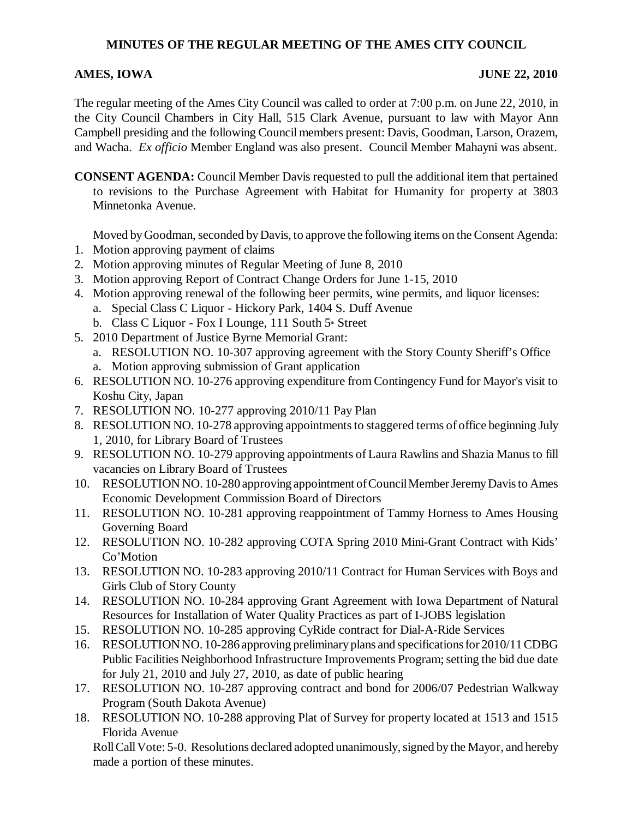# **MINUTES OF THE REGULAR MEETING OF THE AMES CITY COUNCIL**

# **AMES, IOWA** JUNE 22, 2010

The regular meeting of the Ames City Council was called to order at 7:00 p.m. on June 22, 2010, in the City Council Chambers in City Hall, 515 Clark Avenue, pursuant to law with Mayor Ann Campbell presiding and the following Council members present: Davis, Goodman, Larson, Orazem, and Wacha. *Ex officio* Member England was also present. Council Member Mahayni was absent.

**CONSENT AGENDA:** Council Member Davis requested to pull the additional item that pertained to revisions to the Purchase Agreement with Habitat for Humanity for property at 3803 Minnetonka Avenue.

Moved by Goodman, seconded by Davis, to approve the following items on the Consent Agenda:

- 1. Motion approving payment of claims
- 2. Motion approving minutes of Regular Meeting of June 8, 2010
- 3. Motion approving Report of Contract Change Orders for June 1-15, 2010
- 4. Motion approving renewal of the following beer permits, wine permits, and liquor licenses:
	- a. Special Class C Liquor Hickory Park, 1404 S. Duff Avenue
	- b. Class C Liquor Fox I Lounge, 111 South  $5^{\text{th}}$  Street
- 5. 2010 Department of Justice Byrne Memorial Grant:
	- a. RESOLUTION NO. 10-307 approving agreement with the Story County Sheriff's Office
	- a. Motion approving submission of Grant application
- 6. RESOLUTION NO. 10-276 approving expenditure from Contingency Fund for Mayor's visit to Koshu City, Japan
- 7. RESOLUTION NO. 10-277 approving 2010/11 Pay Plan
- 8. RESOLUTION NO. 10-278 approving appointments to staggered terms of office beginning July 1, 2010, for Library Board of Trustees
- 9. RESOLUTION NO. 10-279 approving appointments of Laura Rawlins and Shazia Manus to fill vacancies on Library Board of Trustees
- 10. RESOLUTION NO. 10-280 approving appointment of Council Member Jeremy Davis to Ames Economic Development Commission Board of Directors
- 11. RESOLUTION NO. 10-281 approving reappointment of Tammy Horness to Ames Housing Governing Board
- 12. RESOLUTION NO. 10-282 approving COTA Spring 2010 Mini-Grant Contract with Kids' Co'Motion
- 13. RESOLUTION NO. 10-283 approving 2010/11 Contract for Human Services with Boys and Girls Club of Story County
- 14. RESOLUTION NO. 10-284 approving Grant Agreement with Iowa Department of Natural Resources for Installation of Water Quality Practices as part of I-JOBS legislation
- 15. RESOLUTION NO. 10-285 approving CyRide contract for Dial-A-Ride Services
- 16. RESOLUTION NO. 10-286 approving preliminary plans and specifications for 2010/11 CDBG Public Facilities Neighborhood Infrastructure Improvements Program; setting the bid due date for July 21, 2010 and July 27, 2010, as date of public hearing
- 17. RESOLUTION NO. 10-287 approving contract and bond for 2006/07 Pedestrian Walkway Program (South Dakota Avenue)
- 18. RESOLUTION NO. 10-288 approving Plat of Survey for property located at 1513 and 1515 Florida Avenue

Roll Call Vote: 5-0. Resolutions declared adopted unanimously, signed by the Mayor, and hereby made a portion of these minutes.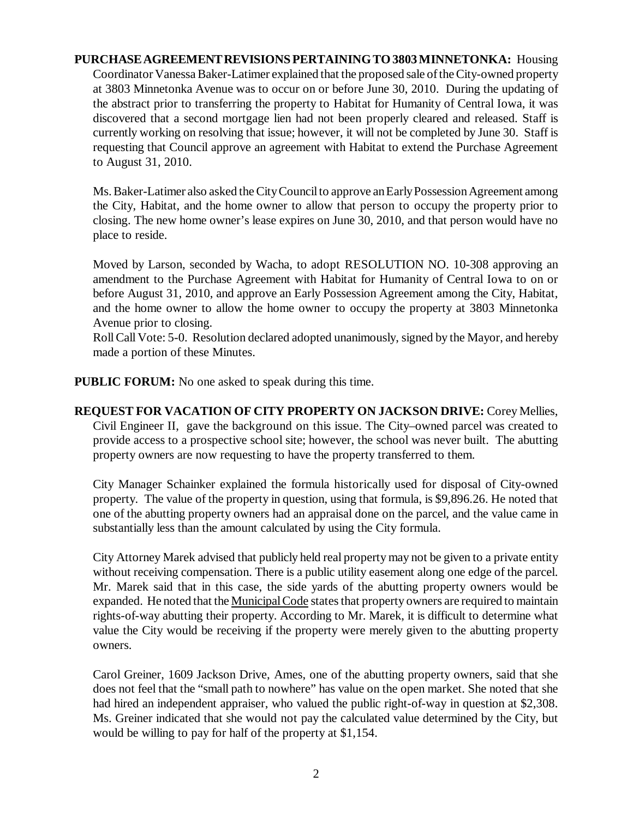## **PURCHASE AGREEMENT REVISIONS PERTAINING TO 3803 MINNETONKA:** Housing Coordinator Vanessa Baker-Latimer explained that the proposed sale of the City-owned property at 3803 Minnetonka Avenue was to occur on or before June 30, 2010. During the updating of the abstract prior to transferring the property to Habitat for Humanity of Central Iowa, it was discovered that a second mortgage lien had not been properly cleared and released. Staff is currently working on resolving that issue; however, it will not be completed by June 30. Staff is requesting that Council approve an agreement with Habitat to extend the Purchase Agreement to August 31, 2010.

Ms. Baker-Latimer also asked the City Council to approve an Early Possession Agreement among the City, Habitat, and the home owner to allow that person to occupy the property prior to closing. The new home owner's lease expires on June 30, 2010, and that person would have no place to reside.

Moved by Larson, seconded by Wacha, to adopt RESOLUTION NO. 10-308 approving an amendment to the Purchase Agreement with Habitat for Humanity of Central Iowa to on or before August 31, 2010, and approve an Early Possession Agreement among the City, Habitat, and the home owner to allow the home owner to occupy the property at 3803 Minnetonka Avenue prior to closing.

Roll Call Vote: 5-0. Resolution declared adopted unanimously, signed by the Mayor, and hereby made a portion of these Minutes.

**PUBLIC FORUM:** No one asked to speak during this time.

**REQUEST FOR VACATION OF CITY PROPERTY ON JACKSON DRIVE:** Corey Mellies, Civil Engineer II, gave the background on this issue. The City–owned parcel was created to provide access to a prospective school site; however, the school was never built. The abutting property owners are now requesting to have the property transferred to them.

City Manager Schainker explained the formula historically used for disposal of City-owned property. The value of the property in question, using that formula, is \$9,896.26. He noted that one of the abutting property owners had an appraisal done on the parcel, and the value came in substantially less than the amount calculated by using the City formula.

City Attorney Marek advised that publicly held real property may not be given to a private entity without receiving compensation. There is a public utility easement along one edge of the parcel. Mr. Marek said that in this case, the side yards of the abutting property owners would be expanded. He noted that the Municipal Code states that property owners are required to maintain rights-of-way abutting their property. According to Mr. Marek, it is difficult to determine what value the City would be receiving if the property were merely given to the abutting property owners.

Carol Greiner, 1609 Jackson Drive, Ames, one of the abutting property owners, said that she does not feel that the "small path to nowhere" has value on the open market. She noted that she had hired an independent appraiser, who valued the public right-of-way in question at \$2,308. Ms. Greiner indicated that she would not pay the calculated value determined by the City, but would be willing to pay for half of the property at \$1,154.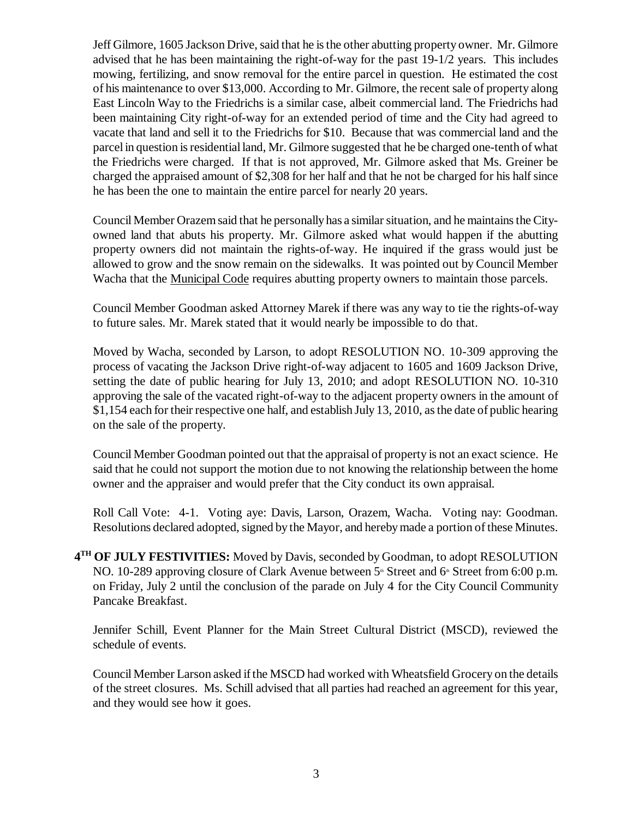Jeff Gilmore, 1605 Jackson Drive, said that he is the other abutting property owner. Mr. Gilmore advised that he has been maintaining the right-of-way for the past 19-1/2 years. This includes mowing, fertilizing, and snow removal for the entire parcel in question. He estimated the cost of his maintenance to over \$13,000. According to Mr. Gilmore, the recent sale of property along East Lincoln Way to the Friedrichs is a similar case, albeit commercial land. The Friedrichs had been maintaining City right-of-way for an extended period of time and the City had agreed to vacate that land and sell it to the Friedrichs for \$10. Because that was commercial land and the parcel in question is residential land, Mr. Gilmore suggested that he be charged one-tenth of what the Friedrichs were charged. If that is not approved, Mr. Gilmore asked that Ms. Greiner be charged the appraised amount of \$2,308 for her half and that he not be charged for his half since he has been the one to maintain the entire parcel for nearly 20 years.

Council Member Orazem said that he personally has a similar situation, and he maintains the Cityowned land that abuts his property. Mr. Gilmore asked what would happen if the abutting property owners did not maintain the rights-of-way. He inquired if the grass would just be allowed to grow and the snow remain on the sidewalks. It was pointed out by Council Member Wacha that the Municipal Code requires abutting property owners to maintain those parcels.

Council Member Goodman asked Attorney Marek if there was any way to tie the rights-of-way to future sales. Mr. Marek stated that it would nearly be impossible to do that.

Moved by Wacha, seconded by Larson, to adopt RESOLUTION NO. 10-309 approving the process of vacating the Jackson Drive right-of-way adjacent to 1605 and 1609 Jackson Drive, setting the date of public hearing for July 13, 2010; and adopt RESOLUTION NO. 10-310 approving the sale of the vacated right-of-way to the adjacent property owners in the amount of \$1,154 each for their respective one half, and establish July 13, 2010, as the date of public hearing on the sale of the property.

Council Member Goodman pointed out that the appraisal of property is not an exact science. He said that he could not support the motion due to not knowing the relationship between the home owner and the appraiser and would prefer that the City conduct its own appraisal.

Roll Call Vote: 4-1. Voting aye: Davis, Larson, Orazem, Wacha. Voting nay: Goodman. Resolutions declared adopted, signed by the Mayor, and hereby made a portion of these Minutes.

**4 TH OF JULY FESTIVITIES:** Moved by Davis, seconded by Goodman, to adopt RESOLUTION NO. 10-289 approving closure of Clark Avenue between 5<sup>th</sup> Street and 6<sup>th</sup> Street from 6:00 p.m. on Friday, July 2 until the conclusion of the parade on July 4 for the City Council Community Pancake Breakfast.

Jennifer Schill, Event Planner for the Main Street Cultural District (MSCD), reviewed the schedule of events.

Council Member Larson asked if the MSCD had worked with Wheatsfield Grocery on the details of the street closures. Ms. Schill advised that all parties had reached an agreement for this year, and they would see how it goes.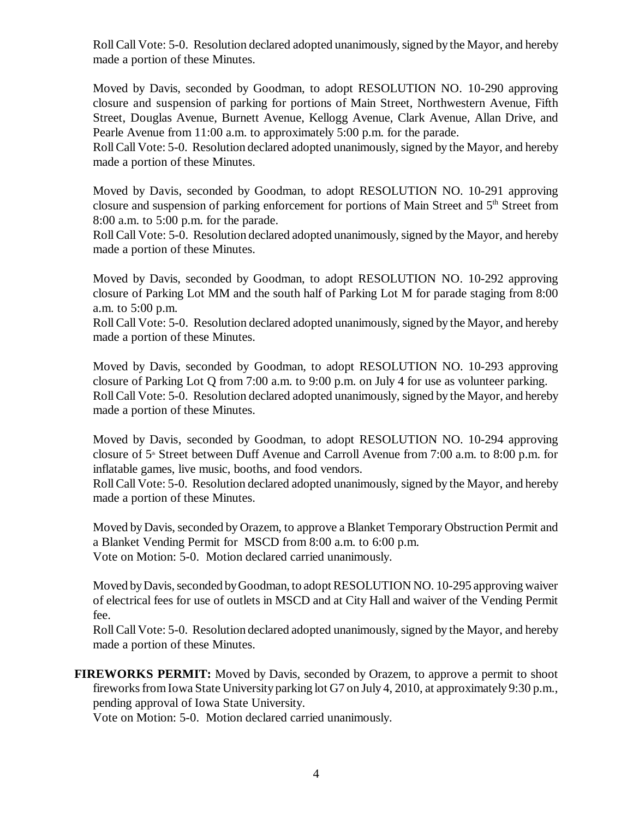RollCall Vote: 5-0. Resolution declared adopted unanimously, signed by the Mayor, and hereby made a portion of these Minutes.

Moved by Davis, seconded by Goodman, to adopt RESOLUTION NO. 10-290 approving closure and suspension of parking for portions of Main Street, Northwestern Avenue, Fifth Street, Douglas Avenue, Burnett Avenue, Kellogg Avenue, Clark Avenue, Allan Drive, and Pearle Avenue from 11:00 a.m. to approximately 5:00 p.m. for the parade.

RollCallVote: 5-0. Resolution declared adopted unanimously, signed by the Mayor, and hereby made a portion of these Minutes.

Moved by Davis, seconded by Goodman, to adopt RESOLUTION NO. 10-291 approving closure and suspension of parking enforcement for portions of Main Street and 5<sup>th</sup> Street from 8:00 a.m. to 5:00 p.m. for the parade.

RollCall Vote: 5-0. Resolution declared adopted unanimously, signed by the Mayor, and hereby made a portion of these Minutes.

Moved by Davis, seconded by Goodman, to adopt RESOLUTION NO. 10-292 approving closure of Parking Lot MM and the south half of Parking Lot M for parade staging from 8:00 a.m. to 5:00 p.m.

RollCall Vote: 5-0. Resolution declared adopted unanimously, signed by the Mayor, and hereby made a portion of these Minutes.

Moved by Davis, seconded by Goodman, to adopt RESOLUTION NO. 10-293 approving closure of Parking Lot Q from 7:00 a.m. to 9:00 p.m. on July 4 for use as volunteer parking. RollCall Vote: 5-0. Resolution declared adopted unanimously, signed by the Mayor, and hereby made a portion of these Minutes.

Moved by Davis, seconded by Goodman, to adopt RESOLUTION NO. 10-294 approving closure of  $5$ <sup>th</sup> Street between Duff Avenue and Carroll Avenue from 7:00 a.m. to 8:00 p.m. for inflatable games, live music, booths, and food vendors.

RollCallVote: 5-0. Resolution declared adopted unanimously, signed by the Mayor, and hereby made a portion of these Minutes.

Moved by Davis, seconded by Orazem, to approve a Blanket Temporary Obstruction Permit and a Blanket Vending Permit for MSCD from 8:00 a.m. to 6:00 p.m. Vote on Motion: 5-0. Motion declared carried unanimously.

Moved by Davis, seconded by Goodman, to adopt RESOLUTION NO. 10-295 approving waiver of electrical fees for use of outlets in MSCD and at City Hall and waiver of the Vending Permit fee.

Roll Call Vote: 5-0. Resolution declared adopted unanimously, signed by the Mayor, and hereby made a portion of these Minutes.

**FIREWORKS PERMIT:** Moved by Davis, seconded by Orazem, to approve a permit to shoot fireworks from Iowa State University parking lot G7 on July 4, 2010, at approximately 9:30 p.m., pending approval of Iowa State University.

Vote on Motion: 5-0. Motion declared carried unanimously.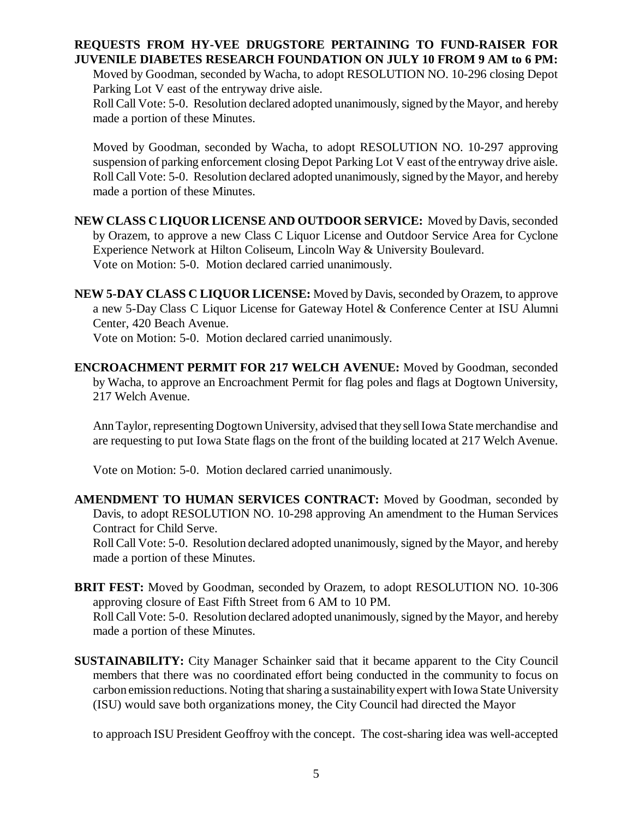### **REQUESTS FROM HY-VEE DRUGSTORE PERTAINING TO FUND-RAISER FOR JUVENILE DIABETES RESEARCH FOUNDATION ON JULY 10 FROM 9 AM to 6 PM:**

Moved by Goodman, seconded by Wacha, to adopt RESOLUTION NO. 10-296 closing Depot Parking Lot V east of the entryway drive aisle.

RollCall Vote: 5-0. Resolution declared adopted unanimously, signed by the Mayor, and hereby made a portion of these Minutes.

Moved by Goodman, seconded by Wacha, to adopt RESOLUTION NO. 10-297 approving suspension of parking enforcement closing Depot Parking Lot V east of the entryway drive aisle. Roll Call Vote: 5-0. Resolution declared adopted unanimously, signed by the Mayor, and hereby made a portion of these Minutes.

**NEW CLASS C LIQUOR LICENSE AND OUTDOOR SERVICE:** Moved by Davis, seconded by Orazem, to approve a new Class C Liquor License and Outdoor Service Area for Cyclone Experience Network at Hilton Coliseum, Lincoln Way & University Boulevard. Vote on Motion: 5-0. Motion declared carried unanimously.

**NEW 5-DAY CLASS C LIQUOR LICENSE:** Moved by Davis, seconded by Orazem, to approve a new 5-Day Class C Liquor License for Gateway Hotel & Conference Center at ISU Alumni Center, 420 Beach Avenue.

Vote on Motion: 5-0. Motion declared carried unanimously.

**ENCROACHMENT PERMIT FOR 217 WELCH AVENUE:** Moved by Goodman, seconded by Wacha, to approve an Encroachment Permit for flag poles and flags at Dogtown University, 217 Welch Avenue.

Ann Taylor, representing Dogtown University, advised that they sell Iowa State merchandise and are requesting to put Iowa State flags on the front of the building located at 217 Welch Avenue.

Vote on Motion: 5-0. Motion declared carried unanimously.

**AMENDMENT TO HUMAN SERVICES CONTRACT:** Moved by Goodman, seconded by Davis, to adopt RESOLUTION NO. 10-298 approving An amendment to the Human Services Contract for Child Serve.

Roll Call Vote: 5-0. Resolution declared adopted unanimously, signed by the Mayor, and hereby made a portion of these Minutes.

- **BRIT FEST:** Moved by Goodman, seconded by Orazem, to adopt RESOLUTION NO. 10-306 approving closure of East Fifth Street from 6 AM to 10 PM. Roll Call Vote: 5-0. Resolution declared adopted unanimously, signed by the Mayor, and hereby made a portion of these Minutes.
- **SUSTAINABILITY:** City Manager Schainker said that it became apparent to the City Council members that there was no coordinated effort being conducted in the community to focus on carbon emission reductions. Noting that sharing a sustainability expert with Iowa State University (ISU) would save both organizations money, the City Council had directed the Mayor

to approach ISU President Geoffroy with the concept. The cost-sharing idea was well-accepted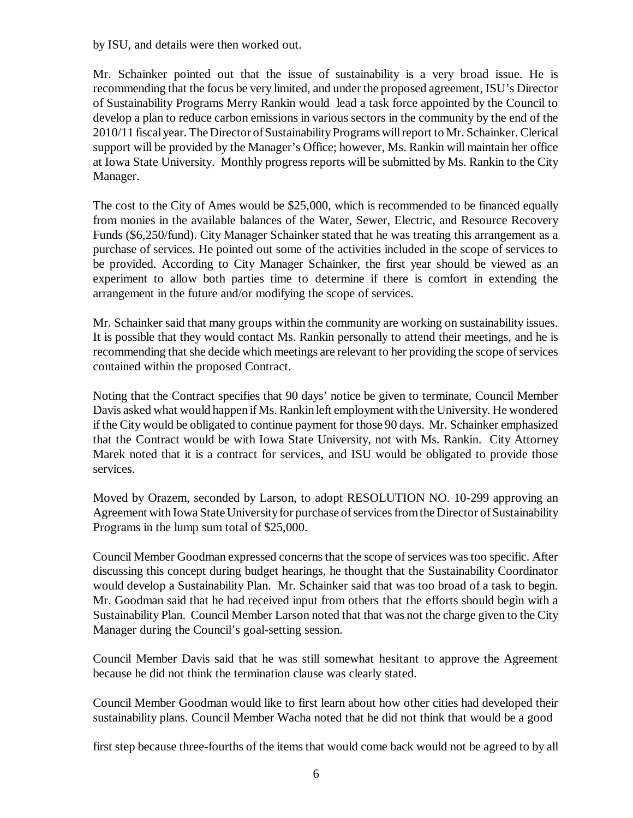by ISU, and details were then worked out.

Mr. Schainker pointed out that the issue of sustainability is a very broad issue. He is recommending that the focus be very limited, and under the proposed agreement, ISU's Director of Sustainability Programs Merry Rankin would lead a task force appointed by the Council to develop a plan to reduce carbon emissions in various sectors in the community by the end of the 2010/11 fiscal year. The Director of Sustainability Programs will report to Mr. Schainker. Clerical support will be provided by the Manager's Office; however, Ms. Rankin will maintain her office at Iowa State University. Monthly progress reports will be submitted by Ms. Rankin to the City Manager.

The cost to the City of Ames would be \$25,000, which is recommended to be financed equally from monies in the available balances of the Water, Sewer, Electric, and Resource Recovery Funds (\$6,250/fund). City Manager Schainker stated that he was treating this arrangement as a purchase of services. He pointed out some of the activities included in the scope of services to be provided. According to City Manager Schainker, the first year should be viewed as an experiment to allow both parties time to determine if there is comfort in extending the arrangement in the future and/or modifying the scope of services.

Mr. Schainker said that many groups within the community are working on sustainability issues. It is possible that they would contact Ms. Rankin personally to attend their meetings, and he is recommending that she decide which meetings are relevant to her providing the scope of services contained within the proposed Contract.

Noting that the Contract specifies that 90 days' notice be given to terminate, Council Member Davis asked what would happen if Ms. Rankin left employment with the University. He wondered if the City would be obligated to continue payment for those 90 days. Mr. Schainker emphasized that the Contract would be with Iowa State University, not with Ms. Rankin. City Attorney Marek noted that it is a contract for services, and ISU would be obligated to provide those services.

Moved by Orazem, seconded by Larson, to adopt RESOLUTION NO. 10-299 approving an Agreement with Iowa State University for purchase of services from the Director of Sustainability Programs in the lump sum total of \$25,000.

Council Member Goodman expressed concerns that the scope of services was too specific. After discussing this concept during budget hearings, he thought that the Sustainability Coordinator would develop a Sustainability Plan. Mr. Schainker said that was too broad of a task to begin. Mr. Goodman said that he had received input from others that the efforts should begin with a Sustainability Plan. Council Member Larson noted that that was not the charge given to the City Manager during the Council's goal-setting session.

Council Member Davis said that he was still somewhat hesitant to approve the Agreement because he did not think the termination clause was clearly stated.

Council Member Goodman would like to first learn about how other cities had developed their sustainability plans. Council Member Wacha noted that he did not think that would be a good

first step because three-fourths of the items that would come back would not be agreed to by all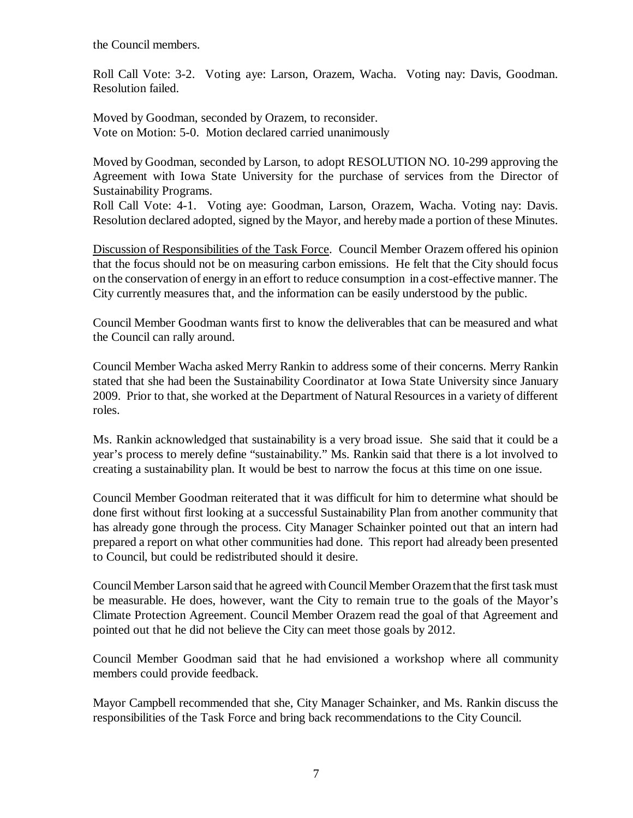the Council members.

Roll Call Vote: 3-2. Voting aye: Larson, Orazem, Wacha. Voting nay: Davis, Goodman. Resolution failed.

Moved by Goodman, seconded by Orazem, to reconsider. Vote on Motion: 5-0. Motion declared carried unanimously

Moved by Goodman, seconded by Larson, to adopt RESOLUTION NO. 10-299 approving the Agreement with Iowa State University for the purchase of services from the Director of Sustainability Programs.

Roll Call Vote: 4-1. Voting aye: Goodman, Larson, Orazem, Wacha. Voting nay: Davis. Resolution declared adopted, signed by the Mayor, and hereby made a portion of these Minutes.

Discussion of Responsibilities of the Task Force. Council Member Orazem offered his opinion that the focus should not be on measuring carbon emissions. He felt that the City should focus on the conservation of energy in an effort to reduce consumption in a cost-effective manner. The City currently measures that, and the information can be easily understood by the public.

Council Member Goodman wants first to know the deliverables that can be measured and what the Council can rally around.

Council Member Wacha asked Merry Rankin to address some of their concerns. Merry Rankin stated that she had been the Sustainability Coordinator at Iowa State University since January 2009. Prior to that, she worked at the Department of Natural Resources in a variety of different roles.

Ms. Rankin acknowledged that sustainability is a very broad issue. She said that it could be a year's process to merely define "sustainability." Ms. Rankin said that there is a lot involved to creating a sustainability plan. It would be best to narrow the focus at this time on one issue.

Council Member Goodman reiterated that it was difficult for him to determine what should be done first without first looking at a successful Sustainability Plan from another community that has already gone through the process. City Manager Schainker pointed out that an intern had prepared a report on what other communities had done. This report had already been presented to Council, but could be redistributed should it desire.

Council Member Larson said that he agreed with Council Member Orazem that the first task must be measurable. He does, however, want the City to remain true to the goals of the Mayor's Climate Protection Agreement. Council Member Orazem read the goal of that Agreement and pointed out that he did not believe the City can meet those goals by 2012.

Council Member Goodman said that he had envisioned a workshop where all community members could provide feedback.

Mayor Campbell recommended that she, City Manager Schainker, and Ms. Rankin discuss the responsibilities of the Task Force and bring back recommendations to the City Council.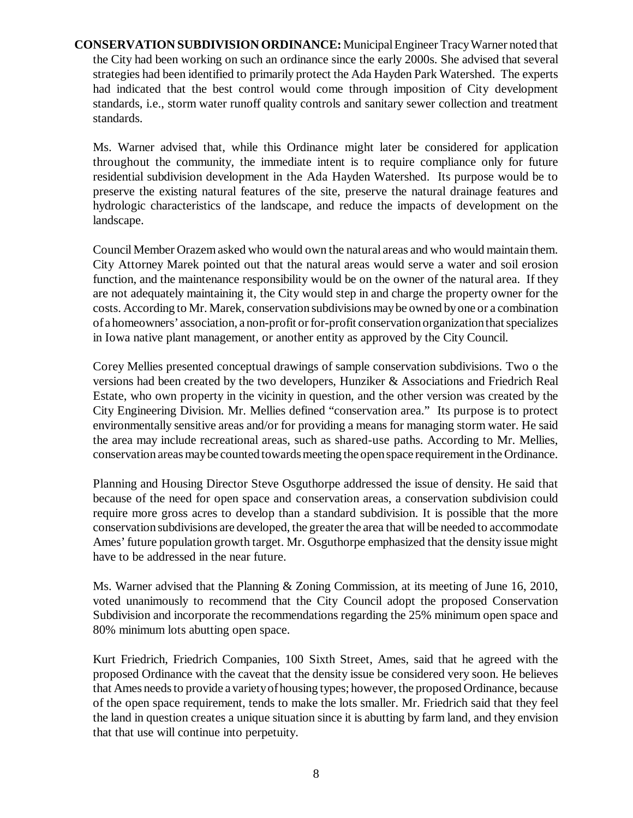**CONSERVATION SUBDIVISION ORDINANCE:** Municipal Engineer Tracy Warner noted that the City had been working on such an ordinance since the early 2000s. She advised that several strategies had been identified to primarily protect the Ada Hayden Park Watershed. The experts had indicated that the best control would come through imposition of City development standards, i.e., storm water runoff quality controls and sanitary sewer collection and treatment standards.

Ms. Warner advised that, while this Ordinance might later be considered for application throughout the community, the immediate intent is to require compliance only for future residential subdivision development in the Ada Hayden Watershed. Its purpose would be to preserve the existing natural features of the site, preserve the natural drainage features and hydrologic characteristics of the landscape, and reduce the impacts of development on the landscape.

Council Member Orazem asked who would own the natural areas and who would maintain them. City Attorney Marek pointed out that the natural areas would serve a water and soil erosion function, and the maintenance responsibility would be on the owner of the natural area. If they are not adequately maintaining it, the City would step in and charge the property owner for the costs. According to Mr. Marek, conservation subdivisions may be owned by one or a combination of a homeowners' association, a non-profit or for-profit conservation organization that specializes in Iowa native plant management, or another entity as approved by the City Council.

Corey Mellies presented conceptual drawings of sample conservation subdivisions. Two o the versions had been created by the two developers, Hunziker & Associations and Friedrich Real Estate, who own property in the vicinity in question, and the other version was created by the City Engineering Division. Mr. Mellies defined "conservation area." Its purpose is to protect environmentally sensitive areas and/or for providing a means for managing storm water. He said the area may include recreational areas, such as shared-use paths. According to Mr. Mellies, conservation areas may be counted towards meeting the open space requirement in the Ordinance.

Planning and Housing Director Steve Osguthorpe addressed the issue of density. He said that because of the need for open space and conservation areas, a conservation subdivision could require more gross acres to develop than a standard subdivision. It is possible that the more conservation subdivisions are developed, the greater the area that will be needed to accommodate Ames' future population growth target. Mr. Osguthorpe emphasized that the density issue might have to be addressed in the near future.

Ms. Warner advised that the Planning & Zoning Commission, at its meeting of June 16, 2010, voted unanimously to recommend that the City Council adopt the proposed Conservation Subdivision and incorporate the recommendations regarding the 25% minimum open space and 80% minimum lots abutting open space.

Kurt Friedrich, Friedrich Companies, 100 Sixth Street, Ames, said that he agreed with the proposed Ordinance with the caveat that the density issue be considered very soon. He believes that Ames needs to provide a variety of housing types; however, the proposed Ordinance, because of the open space requirement, tends to make the lots smaller. Mr. Friedrich said that they feel the land in question creates a unique situation since it is abutting by farm land, and they envision that that use will continue into perpetuity.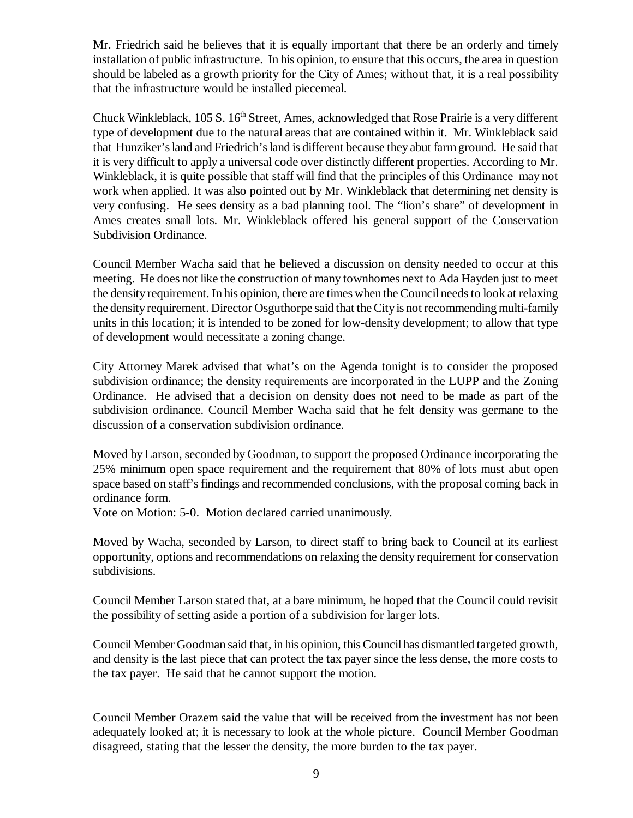Mr. Friedrich said he believes that it is equally important that there be an orderly and timely installation of public infrastructure. In his opinion, to ensure that this occurs, the area in question should be labeled as a growth priority for the City of Ames; without that, it is a real possibility that the infrastructure would be installed piecemeal.

Chuck Winkleblack, 105 S. 16<sup>th</sup> Street, Ames, acknowledged that Rose Prairie is a very different type of development due to the natural areas that are contained within it. Mr. Winkleblack said that Hunziker's land and Friedrich's land is different because they abut farm ground. He said that it is very difficult to apply a universal code over distinctly different properties. According to Mr. Winkleblack, it is quite possible that staff will find that the principles of this Ordinance may not work when applied. It was also pointed out by Mr. Winkleblack that determining net density is very confusing. He sees density as a bad planning tool. The "lion's share" of development in Ames creates small lots. Mr. Winkleblack offered his general support of the Conservation Subdivision Ordinance.

Council Member Wacha said that he believed a discussion on density needed to occur at this meeting. He does not like the construction of many townhomes next to Ada Hayden just to meet the density requirement. In his opinion, there are times when the Council needs to look at relaxing the density requirement. Director Osguthorpe said that the City is not recommending multi-family units in this location; it is intended to be zoned for low-density development; to allow that type of development would necessitate a zoning change.

City Attorney Marek advised that what's on the Agenda tonight is to consider the proposed subdivision ordinance; the density requirements are incorporated in the LUPP and the Zoning Ordinance. He advised that a decision on density does not need to be made as part of the subdivision ordinance. Council Member Wacha said that he felt density was germane to the discussion of a conservation subdivision ordinance.

Moved by Larson, seconded by Goodman, to support the proposed Ordinance incorporating the 25% minimum open space requirement and the requirement that 80% of lots must abut open space based on staff's findings and recommended conclusions, with the proposal coming back in ordinance form.

Vote on Motion: 5-0. Motion declared carried unanimously.

Moved by Wacha, seconded by Larson, to direct staff to bring back to Council at its earliest opportunity, options and recommendations on relaxing the density requirement for conservation subdivisions.

Council Member Larson stated that, at a bare minimum, he hoped that the Council could revisit the possibility of setting aside a portion of a subdivision for larger lots.

Council Member Goodman said that, in his opinion, this Council has dismantled targeted growth, and density is the last piece that can protect the tax payer since the less dense, the more costs to the tax payer. He said that he cannot support the motion.

Council Member Orazem said the value that will be received from the investment has not been adequately looked at; it is necessary to look at the whole picture. Council Member Goodman disagreed, stating that the lesser the density, the more burden to the tax payer.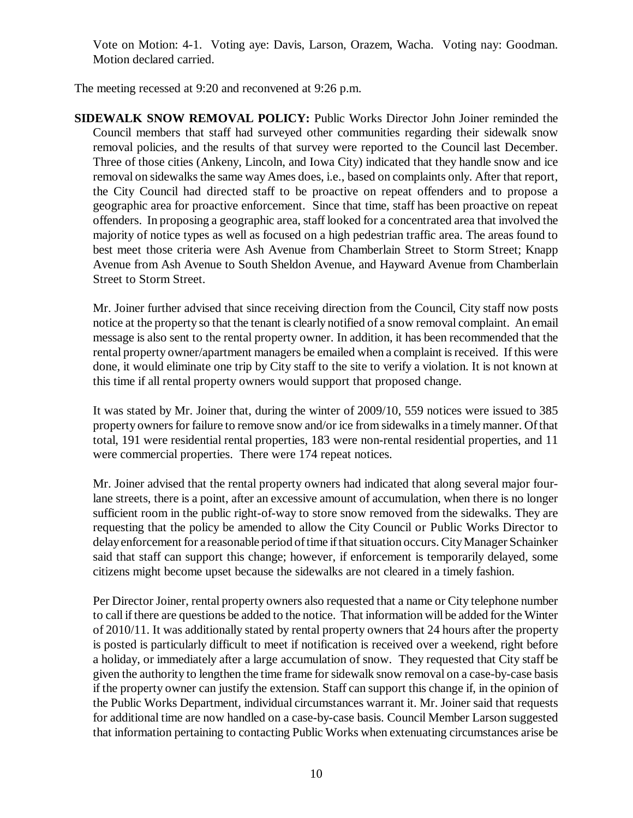Vote on Motion: 4-1. Voting aye: Davis, Larson, Orazem, Wacha. Voting nay: Goodman. Motion declared carried.

The meeting recessed at 9:20 and reconvened at 9:26 p.m.

**SIDEWALK SNOW REMOVAL POLICY:** Public Works Director John Joiner reminded the Council members that staff had surveyed other communities regarding their sidewalk snow removal policies, and the results of that survey were reported to the Council last December. Three of those cities (Ankeny, Lincoln, and Iowa City) indicated that they handle snow and ice removal on sidewalks the same way Ames does, i.e., based on complaints only. After that report, the City Council had directed staff to be proactive on repeat offenders and to propose a geographic area for proactive enforcement. Since that time, staff has been proactive on repeat offenders. In proposing a geographic area, staff looked for a concentrated area that involved the majority of notice types as well as focused on a high pedestrian traffic area. The areas found to best meet those criteria were Ash Avenue from Chamberlain Street to Storm Street; Knapp Avenue from Ash Avenue to South Sheldon Avenue, and Hayward Avenue from Chamberlain Street to Storm Street.

Mr. Joiner further advised that since receiving direction from the Council, City staff now posts notice at the property so that the tenant is clearly notified of a snow removal complaint. An email message is also sent to the rental property owner. In addition, it has been recommended that the rental property owner/apartment managers be emailed when a complaint is received. If this were done, it would eliminate one trip by City staff to the site to verify a violation. It is not known at this time if all rental property owners would support that proposed change.

It was stated by Mr. Joiner that, during the winter of 2009/10, 559 notices were issued to 385 property owners for failure to remove snow and/or ice from sidewalks in a timely manner. Of that total, 191 were residential rental properties, 183 were non-rental residential properties, and 11 were commercial properties. There were 174 repeat notices.

Mr. Joiner advised that the rental property owners had indicated that along several major fourlane streets, there is a point, after an excessive amount of accumulation, when there is no longer sufficient room in the public right-of-way to store snow removed from the sidewalks. They are requesting that the policy be amended to allow the City Council or Public Works Director to delay enforcement for a reasonable period of time if that situation occurs. City Manager Schainker said that staff can support this change; however, if enforcement is temporarily delayed, some citizens might become upset because the sidewalks are not cleared in a timely fashion.

Per Director Joiner, rental property owners also requested that a name or City telephone number to call if there are questions be added to the notice. That information will be added for the Winter of 2010/11. It was additionally stated by rental property owners that 24 hours after the property is posted is particularly difficult to meet if notification is received over a weekend, right before a holiday, or immediately after a large accumulation of snow. They requested that City staff be given the authority to lengthen the time frame for sidewalk snow removal on a case-by-case basis if the property owner can justify the extension. Staff can support this change if, in the opinion of the Public Works Department, individual circumstances warrant it. Mr. Joiner said that requests for additional time are now handled on a case-by-case basis. Council Member Larson suggested that information pertaining to contacting Public Works when extenuating circumstances arise be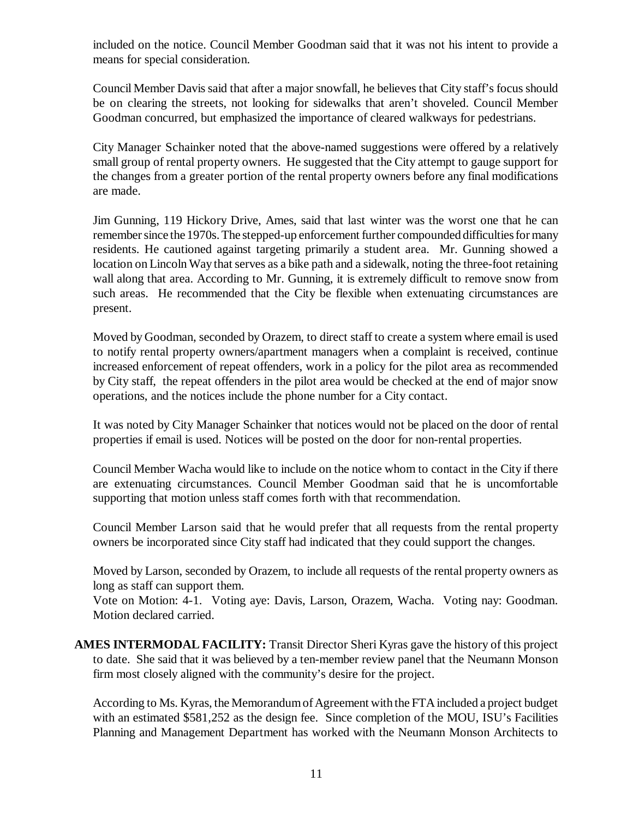included on the notice. Council Member Goodman said that it was not his intent to provide a means for special consideration.

Council Member Davis said that after a major snowfall, he believes that City staff's focus should be on clearing the streets, not looking for sidewalks that aren't shoveled. Council Member Goodman concurred, but emphasized the importance of cleared walkways for pedestrians.

City Manager Schainker noted that the above-named suggestions were offered by a relatively small group of rental property owners. He suggested that the City attempt to gauge support for the changes from a greater portion of the rental property owners before any final modifications are made.

Jim Gunning, 119 Hickory Drive, Ames, said that last winter was the worst one that he can remember since the 1970s. The stepped-up enforcement further compounded difficulties for many residents. He cautioned against targeting primarily a student area. Mr. Gunning showed a location on Lincoln Way that serves as a bike path and a sidewalk, noting the three-foot retaining wall along that area. According to Mr. Gunning, it is extremely difficult to remove snow from such areas. He recommended that the City be flexible when extenuating circumstances are present.

Moved by Goodman, seconded by Orazem, to direct staff to create a system where email is used to notify rental property owners/apartment managers when a complaint is received, continue increased enforcement of repeat offenders, work in a policy for the pilot area as recommended by City staff, the repeat offenders in the pilot area would be checked at the end of major snow operations, and the notices include the phone number for a City contact.

It was noted by City Manager Schainker that notices would not be placed on the door of rental properties if email is used. Notices will be posted on the door for non-rental properties.

Council Member Wacha would like to include on the notice whom to contact in the City if there are extenuating circumstances. Council Member Goodman said that he is uncomfortable supporting that motion unless staff comes forth with that recommendation.

Council Member Larson said that he would prefer that all requests from the rental property owners be incorporated since City staff had indicated that they could support the changes.

Moved by Larson, seconded by Orazem, to include all requests of the rental property owners as long as staff can support them.

Vote on Motion: 4-1. Voting aye: Davis, Larson, Orazem, Wacha. Voting nay: Goodman. Motion declared carried.

**AMES INTERMODAL FACILITY:** Transit Director Sheri Kyras gave the history of this project to date. She said that it was believed by a ten-member review panel that the Neumann Monson firm most closely aligned with the community's desire for the project.

According to Ms. Kyras, the Memorandum of Agreement with the FTA included a project budget with an estimated \$581,252 as the design fee. Since completion of the MOU, ISU's Facilities Planning and Management Department has worked with the Neumann Monson Architects to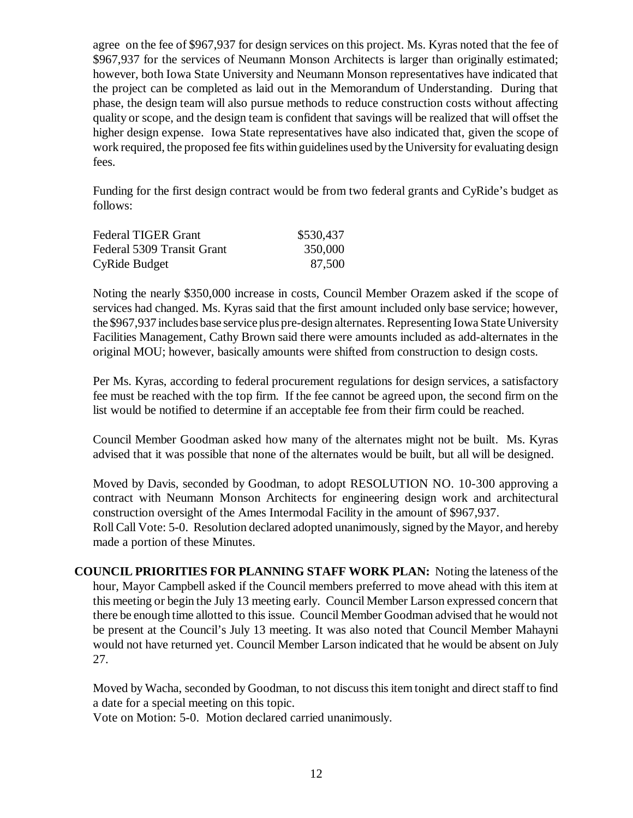agree on the fee of \$967,937 for design services on this project. Ms. Kyras noted that the fee of \$967,937 for the services of Neumann Monson Architects is larger than originally estimated; however, both Iowa State University and Neumann Monson representatives have indicated that the project can be completed as laid out in the Memorandum of Understanding. During that phase, the design team will also pursue methods to reduce construction costs without affecting quality or scope, and the design team is confident that savings will be realized that will offset the higher design expense. Iowa State representatives have also indicated that, given the scope of work required, the proposed fee fits within guidelines used by the University for evaluating design fees.

Funding for the first design contract would be from two federal grants and CyRide's budget as follows:

| <b>Federal TIGER Grant</b> | \$530,437 |
|----------------------------|-----------|
| Federal 5309 Transit Grant | 350,000   |
| CyRide Budget              | 87,500    |

Noting the nearly \$350,000 increase in costs, Council Member Orazem asked if the scope of services had changed. Ms. Kyras said that the first amount included only base service; however, the \$967,937 includes base service plus pre-design alternates. Representing Iowa State University Facilities Management, Cathy Brown said there were amounts included as add-alternates in the original MOU; however, basically amounts were shifted from construction to design costs.

Per Ms. Kyras, according to federal procurement regulations for design services, a satisfactory fee must be reached with the top firm. If the fee cannot be agreed upon, the second firm on the list would be notified to determine if an acceptable fee from their firm could be reached.

Council Member Goodman asked how many of the alternates might not be built. Ms. Kyras advised that it was possible that none of the alternates would be built, but all will be designed.

Moved by Davis, seconded by Goodman, to adopt RESOLUTION NO. 10-300 approving a contract with Neumann Monson Architects for engineering design work and architectural construction oversight of the Ames Intermodal Facility in the amount of \$967,937. Roll Call Vote: 5-0. Resolution declared adopted unanimously, signed by the Mayor, and hereby made a portion of these Minutes.

**COUNCIL PRIORITIES FOR PLANNING STAFF WORK PLAN:** Noting the lateness of the hour, Mayor Campbell asked if the Council members preferred to move ahead with this item at this meeting or begin the July 13 meeting early. Council Member Larson expressed concern that there be enough time allotted to this issue. Council Member Goodman advised that he would not be present at the Council's July 13 meeting. It was also noted that Council Member Mahayni would not have returned yet. Council Member Larson indicated that he would be absent on July 27.

Moved by Wacha, seconded by Goodman, to not discuss this item tonight and direct staff to find a date for a special meeting on this topic.

Vote on Motion: 5-0. Motion declared carried unanimously.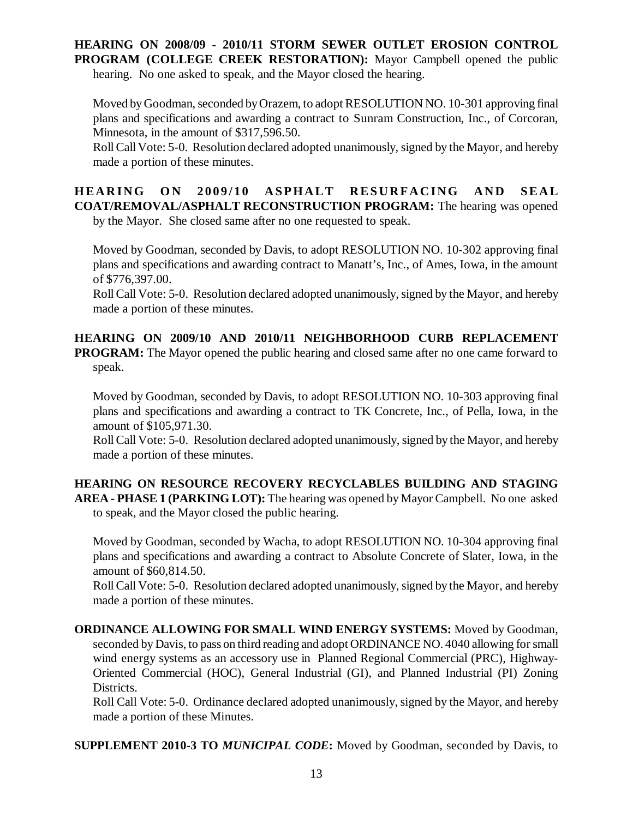**HEARING ON 2008/09 - 2010/11 STORM SEWER OUTLET EROSION CONTROL PROGRAM (COLLEGE CREEK RESTORATION):** Mayor Campbell opened the public hearing. No one asked to speak, and the Mayor closed the hearing.

Moved by Goodman, seconded by Orazem, to adopt RESOLUTION NO. 10-301 approving final plans and specifications and awarding a contract to Sunram Construction, Inc., of Corcoran, Minnesota, in the amount of \$317,596.50.

Roll Call Vote: 5-0. Resolution declared adopted unanimously, signed by the Mayor, and hereby made a portion of these minutes.

# **HEARING ON 2009/10 ASPHALT RESURFACING AND SEAL COAT/REMOVAL/ASPHALT RECONSTRUCTION PROGRAM:** The hearing was opened

by the Mayor. She closed same after no one requested to speak.

Moved by Goodman, seconded by Davis, to adopt RESOLUTION NO. 10-302 approving final plans and specifications and awarding contract to Manatt's, Inc., of Ames, Iowa, in the amount of \$776,397.00.

Roll Call Vote: 5-0. Resolution declared adopted unanimously, signed by the Mayor, and hereby made a portion of these minutes.

**HEARING ON 2009/10 AND 2010/11 NEIGHBORHOOD CURB REPLACEMENT PROGRAM:** The Mayor opened the public hearing and closed same after no one came forward to speak.

Moved by Goodman, seconded by Davis, to adopt RESOLUTION NO. 10-303 approving final plans and specifications and awarding a contract to TK Concrete, Inc., of Pella, Iowa, in the amount of \$105,971.30.

Roll Call Vote: 5-0. Resolution declared adopted unanimously, signed by the Mayor, and hereby made a portion of these minutes.

**HEARING ON RESOURCE RECOVERY RECYCLABLES BUILDING AND STAGING AREA - PHASE 1 (PARKING LOT):** The hearing was opened by Mayor Campbell. No one asked to speak, and the Mayor closed the public hearing.

Moved by Goodman, seconded by Wacha, to adopt RESOLUTION NO. 10-304 approving final plans and specifications and awarding a contract to Absolute Concrete of Slater, Iowa, in the amount of \$60,814.50.

Roll Call Vote: 5-0. Resolution declared adopted unanimously, signed by the Mayor, and hereby made a portion of these minutes.

**ORDINANCE ALLOWING FOR SMALL WIND ENERGY SYSTEMS:** Moved by Goodman, seconded by Davis, to pass on third reading and adopt ORDINANCE NO. 4040 allowing for small wind energy systems as an accessory use in Planned Regional Commercial (PRC), Highway-Oriented Commercial (HOC), General Industrial (GI), and Planned Industrial (PI) Zoning Districts.

Roll Call Vote: 5-0. Ordinance declared adopted unanimously, signed by the Mayor, and hereby made a portion of these Minutes.

**SUPPLEMENT 2010-3 TO** *MUNICIPAL CODE***:** Moved by Goodman, seconded by Davis, to